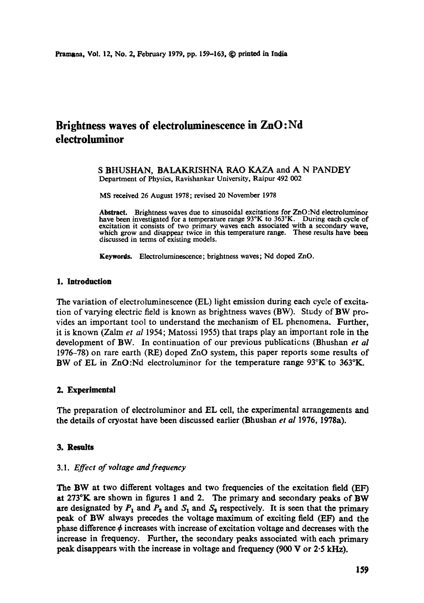# **Brightness waves of electroluminescenee in ZnO:Nd electroluminor**

S BHUSHAN, BALAKRISHNA RAO KAZA and A N PANDEY Department of Physics, Ravishankar University, Raipur 492 002

MS received 26 August 1978; revised 20 November 1978

**Abstract.** Brightness waves due to sinusoidal excitations for ZnO :Nd electroluminor have been investigated for a temperature range 93°K to 363°K. During each cycle of excitation it consists of two primary waves each associated with a secondary wave, which grow and disappear twice in this temperature range. These results have been discussed in terms of existing models.

**Keywords.** Electroluminescence; brightness waves; Nd doped ZnO.

# **1. Introduction**

The variation of electroluminescence (EL) light emission during each cycle of excitation of varying electric field is known as brightness waves (BW). Study of BW provides an important tool to understand the mechanism of EL phenomena. Further, it is known (Zalm *et al* 1954; Matossi 1955) that traps play an important role in the development of BW. In continuation of our previous publications (Bhushan *et al* 1976-78) on rare earth (RE) doped ZnO system, this paper reports some results of BW of EL in ZnO:Nd electroluminor for the temperature range  $93^\circ K$  to  $363^\circ K$ .

## **2. Experimental**

The preparation of electroluminor and EL cell, the experimental arrangements and the details of cryostat have been discussed earlier (Bhushan *et al* 1976, 1978a).

#### 3. Results

### *3.1. Effect of voltage and frequency*

The BW at two different voltages and two frequencies of the excitation field (EF) **at** 273°K are shown in figures 1 and 2. The primary and secondary peaks of BW are designated by  $P_1$  and  $P_2$  and  $S_1$  and  $S_2$  respectively. It is seen that the primary peak of BW always precedes the voltage maximum of exciting field (EF) and the phase difference  $\phi$  increases with increase of excitation voltage and decreases with the increase in frequency. Further, the secondary peaks associated with each primary peak disappears with the increase in voltage and frequency (900 V or 2.5 kHz).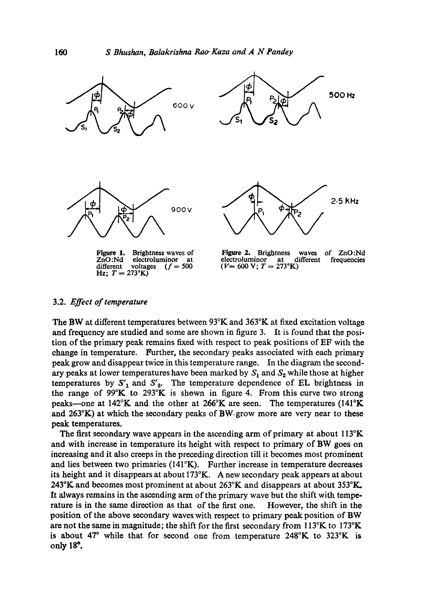

#### 3.2. *Effect of temperature*

The BW at different temperatures between 93°K and 363°K at fixed excitation voltage and frequency are studied and some are shown in figure 3. It is found that the position of the primary peak remains fixed with respect to peak positions of EF with the change in temperature. Further, the secondary peaks associated with each primary peak grow and disappear twice in this temperature range. In the diagram the secondary peaks at lower temperatures have been marked by  $S_1$  and  $S_2$  while those at higher temperatures by  $S'_{1}$  and  $S'_{2}$ . The temperature dependence of EL brightness in the range of 99°K to 293°K is shown in figure 4. From this curve two strong peaks—one at  $142^{\circ}$ K and the other at  $266^{\circ}$ K are seen. The temperatures (141°K and 263°K) at which the secondary peaks of BW.grow more are very near to these peak temperatures.

The first secondary wave appears in the ascending arm of primary at about  $113^{\circ}K$ and with increase in temperature its height with respect to primary of BW goes on increasing and it also creeps in the preceding direction till it becomes most prominent and lies between two primaries (141°K). Further increase in temperature decreases its height and it disappears at about 173°K. A new secondary peak appears at about 243°K and becomes most prominent at about  $263^{\circ}K$  and disappears at about 353°K. It always remains in the ascending arm of the primary wave but the shift with temperature is in the same direction as that of the first one. However, the shift in the position of the above secondary waves with respeet to primary peak position of BW **are** not the same in magnitude; the shift for the first secondary from 113°K to 173°K is about 47° while that for second one from temperature 248°K to 323°K is only 18".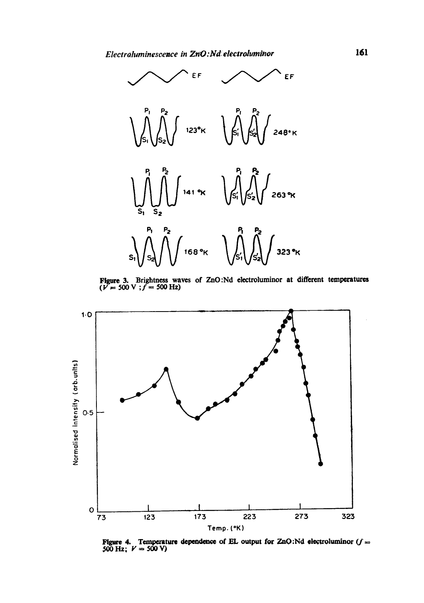

Figure 3. Brightness waves of ZnO:Nd electroluminor at different temperatures ( $V = 500$  V ;  $f = 500$  Hz)



Figure 4. Temperature dependence of EL output for ZnO:Nd electroluminor  $(f = 500 \text{ Hz}; V = 500 \text{ V})$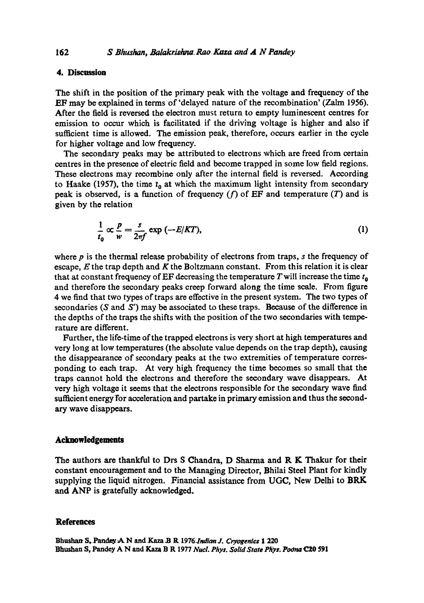# **4. Discussion**

The shift in the position of the primary peak with the voltage and frequency of the EF may be explained in terms of 'delayed nature of the recombination' (Zalm 1956). After the field is reversed the electron must return to empty luminescent centres for emission to occur which is facilitated if the driving voltage is higher and also if sufficient time is allowed. The emission peak, therefore, occurs earlier in the cycle for higher voltage and low frequency.

The secondary peaks may be attributed to electrons which are freed from certain centres in the presence of electric field and become trapped in some low field regions. These electrons may recombine only after the internal field is reversed. According to Haake (1957), the time  $t_0$  at which the maximum light intensity from secondary peak is observed, is a function of frequency  $(f)$  of EF and temperature  $(T)$  and is given by the relation

$$
\frac{1}{t_0} \propto \frac{p}{w} = \frac{s}{2\pi f} \exp\left(-\frac{E}{KT}\right),\tag{1}
$$

where  $p$  is the thermal release probability of electrons from traps,  $s$  the frequency of escape,  $E$  the trap depth and  $K$  the Boltzmann constant. From this relation it is clear that at constant frequency of EF decreasing the temperature  $T$  will increase the time  $t_0$ and therefore the secondary peaks creep forward along the time scale. From figure 4 we find that two types of traps are effective in the present system. The two types of secondaries (S and S') may be associated to these traps. Because of the difference in the depths of the traps the shifts with the position of the two secondaries with temperature are different.

Further, the life-time of the trapped electrons is very short at high temperatures and very long at low temperatures (the absolute value depends on the trap depth), causing the disappearance of secondary peaks at the two extremities of temperature corresponding to each trap. At very high frequency the time becomes so small that the traps cannot hold the electrons and therefore the secondary wave disappears. At very high voltage it seems that the electrons responsible for the secondary wave find sufficient energy for acceleration and partake in primary emission and thus the secondary wave disappears.

### **Acknowledgements**

The authors are thankful to Drs S Chandra, D Sharma and R K Thakur for their constant encouragement and to the Managing Director, Bhilai Steel Plant for kindly supplying the liquid nitrogen. Financial assistance from UGC, New Delhi to BRK and ANP is gratefully acknowledged.

#### **References**